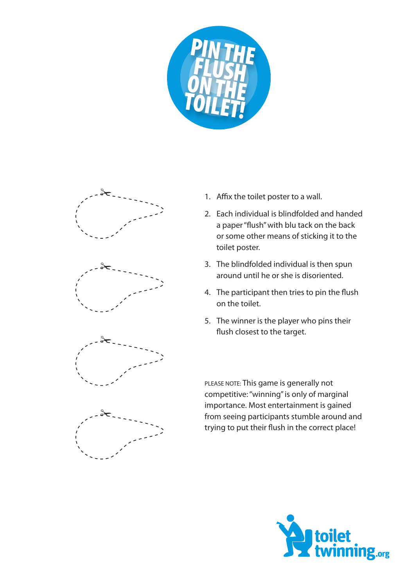



- 1. Affix the toilet poster to a wall.
- 2. Each individual is blindfolded and handed a paper "flush" with blu tack on the back or some other means of sticking it to the toilet poster.
- 3. The blindfolded individual is then spun around until he or she is disoriented.
- 4. The participant then tries to pin the flush on the toilet.
- 5. The winner is the player who pins their flush closest to the target.

PLEASE NOTE: This game is generally not competitive: "winning" is only of marginal importance. Most entertainment is gained from seeing participants stumble around and trying to put their flush in the correct place!